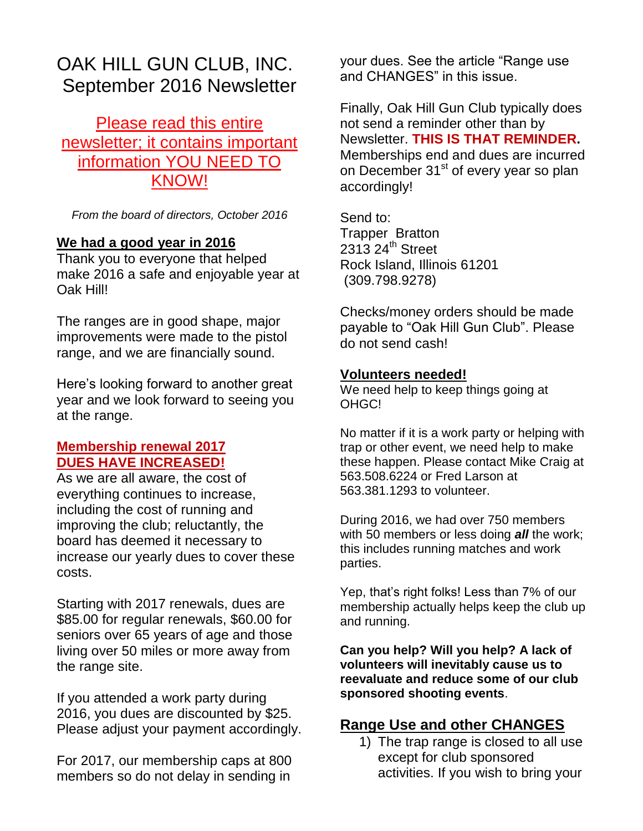# OAK HILL GUN CLUB, INC. September 2016 Newsletter

Please read this entire newsletter; it contains important information YOU NEED TO KNOW!

*From the board of directors, October 2016*

## **We had a good year in 2016**

Thank you to everyone that helped make 2016 a safe and enjoyable year at Oak Hill!

The ranges are in good shape, major improvements were made to the pistol range, and we are financially sound.

Here's looking forward to another great year and we look forward to seeing you at the range.

## **Membership renewal 2017 DUES HAVE INCREASED!**

As we are all aware, the cost of everything continues to increase, including the cost of running and improving the club; reluctantly, the board has deemed it necessary to increase our yearly dues to cover these costs.

Starting with 2017 renewals, dues are \$85.00 for regular renewals, \$60.00 for seniors over 65 years of age and those living over 50 miles or more away from the range site.

If you attended a work party during 2016, you dues are discounted by \$25. Please adjust your payment accordingly.

For 2017, our membership caps at 800 members so do not delay in sending in

your dues. See the article "Range use and CHANGES" in this issue.

Finally, Oak Hill Gun Club typically does not send a reminder other than by Newsletter. **THIS IS THAT REMINDER.** Memberships end and dues are incurred on December 31<sup>st</sup> of every year so plan accordingly!

Send to: Trapper Bratton  $2313$   $24^{\text{th}}$  Street Rock Island, Illinois 61201 (309.798.9278)

Checks/money orders should be made payable to "Oak Hill Gun Club". Please do not send cash!

#### **Volunteers needed!**

We need help to keep things going at OHGC!

No matter if it is a work party or helping with trap or other event, we need help to make these happen. Please contact Mike Craig at 563.508.6224 or Fred Larson at 563.381.1293 to volunteer.

During 2016, we had over 750 members with 50 members or less doing *all* the work; this includes running matches and work parties.

Yep, that's right folks! Less than 7% of our membership actually helps keep the club up and running.

**Can you help? Will you help? A lack of volunteers will inevitably cause us to reevaluate and reduce some of our club sponsored shooting events**.

## **Range Use and other CHANGES**

1) The trap range is closed to all use except for club sponsored activities. If you wish to bring your